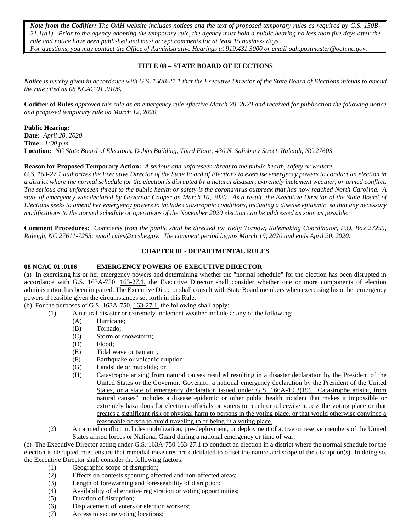*Note from the Codifier: The OAH website includes notices and the text of proposed temporary rules as required by G.S. 150B-21.1(a1). Prior to the agency adopting the temporary rule, the agency must hold a public hearing no less than five days after the rule and notice have been published and must accept comments for at least 15 business days. For questions, you may contact the Office of Administrative Hearings at 919.431.3000 or email [oah.postmaster@o](mailto:oah.postmaster@ncmail.net)ah.nc.gov.*

# **TITLE 08 – STATE BOARD OF ELECTIONS**

*Notice is hereby given in accordance with G.S. 150B-21.1 that the Executive Director of the State Board of Elections intends to amend the rule cited as 08 NCAC 01 .0106.*

**Codifier of Rules** *approved this rule as an emergency rule effective March 20, 2020 and received for publication the following notice and proposed temporary rule on March 12, 2020.*

#### **Public Hearing:**

**Date:** *April 20, 2020* **Time:** *1:00 p.m.* **Location:** *NC State Board of Elections, Dobbs Building, Third Floor, 430 N. Salisbury Street, Raleigh, NC 27603*

## **Reason for Proposed Temporary Action:** *A serious and unforeseen threat to the public health, safety or welfare.*

*G.S. 163-27.1 authorizes the Executive Director of the State Board of Elections to exercise emergency powers to conduct an election in a district where the normal schedule for the election is disrupted by a natural disaster, extremely inclement weather, or armed conflict. The serious and unforeseen threat to the public health or safety is the coronavirus outbreak that has now reached North Carolina. A state of emergency was declared by Governor Cooper on March 10, 2020. As a result, the Executive Director of the State Board of Elections seeks to amend her emergency powers to include catastrophic conditions, including a disease epidemic, so that any necessary modifications to the normal schedule or operations of the November 2020 election can be addressed as soon as possible.*

**Comment Procedures:** *Comments from the public shall be directed to: Kelly Tornow, Rulemaking Coordinator, P.O. Box 27255, Raleigh, NC 27611-7255; email rules@ncsbe.gov. The comment period begins March 19, 2020 and ends April 20, 2020.*

## **CHAPTER 01 - DEPARTMENTAL RULES**

#### **08 NCAC 01 .0106 EMERGENCY POWERS OF EXECUTIVE DIRECTOR**

(a) In exercising his or her emergency powers and determining whether the "normal schedule" for the election has been disrupted in accordance with G.S. 163A-750, 163-27.1, the Executive Director shall consider whether one or more components of election administration has been impaired. The Executive Director shall consult with State Board members when exercising his or her emergency powers if feasible given the circumstances set forth in this Rule.

(b) For the purposes of G.S.  $163A$ -750,  $163-27.1$ , the following shall apply:

- (1) A natural disaster or extremely inclement weather include a: any of the following:
	- (A) Hurricane;
	- (B) Tornado;
	- (C) Storm or snowstorm;
	- (D) Flood;
	- (E) Tidal wave or tsunami;
	- (F) Earthquake or volcanic eruption;
	- (G) Landslide or mudslide; or
	- (H) Catastrophe arising from natural causes resulted resulting in a disaster declaration by the President of the United States or the Governor. Governor, a national emergency declaration by the President of the United States, or a state of emergency declaration issued under G.S. 166A-19.3(19). "Catastrophe arising from natural causes" includes a disease epidemic or other public health incident that makes it impossible or extremely hazardous for elections officials or voters to reach or otherwise access the voting place or that creates a significant risk of physical harm to persons in the voting place, or that would otherwise convince a reasonable person to avoid traveling to or being in a voting place.
- (2) An armed conflict includes mobilization, pre-deployment, or deployment of active or reserve members of the United States armed forces or National Guard during a national emergency or time of war.

(c) The Executive Director acting under G.S. 163A-750 163-27.1 to conduct an election in a district where the normal schedule for the election is disrupted must ensure that remedial measures are calculated to offset the nature and scope of the disruption(s). In doing so, the Executive Director shall consider the following factors:

- (1) Geographic scope of disruption;
- (2) Effects on contests spanning affected and non-affected areas;
- (3) Length of forewarning and foreseeability of disruption;
- (4) Availability of alternative registration or voting opportunities;
- (5) Duration of disruption;
- (6) Displacement of voters or election workers;
- (7) Access to secure voting locations;